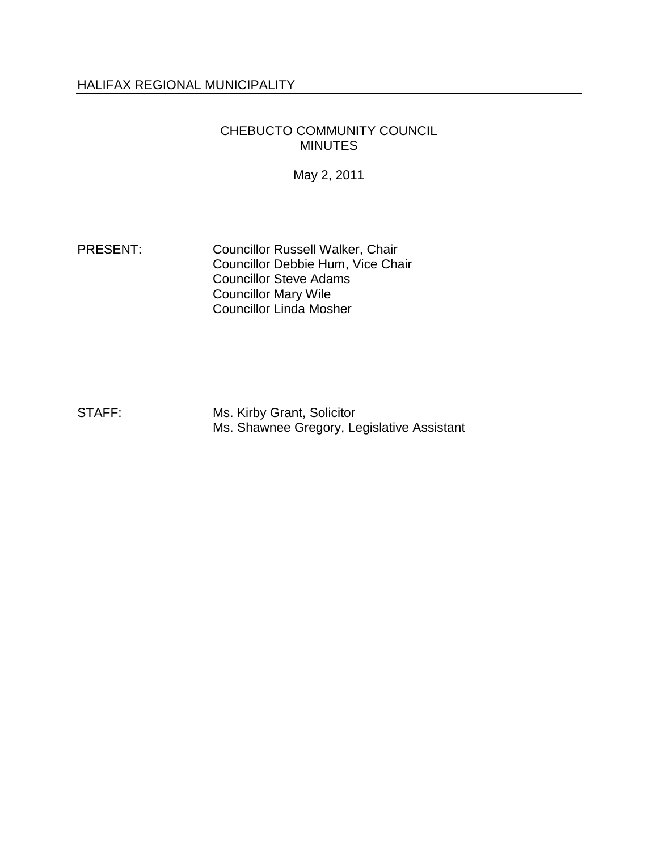## HALIFAX REGIONAL MUNICIPALITY

#### CHEBUCTO COMMUNITY COUNCIL MINUTES

May 2, 2011

PRESENT: Councillor Russell Walker, Chair Councillor Debbie Hum, Vice Chair Councillor Steve Adams Councillor Mary Wile Councillor Linda Mosher

STAFF: Ms. Kirby Grant, Solicitor Ms. Shawnee Gregory, Legislative Assistant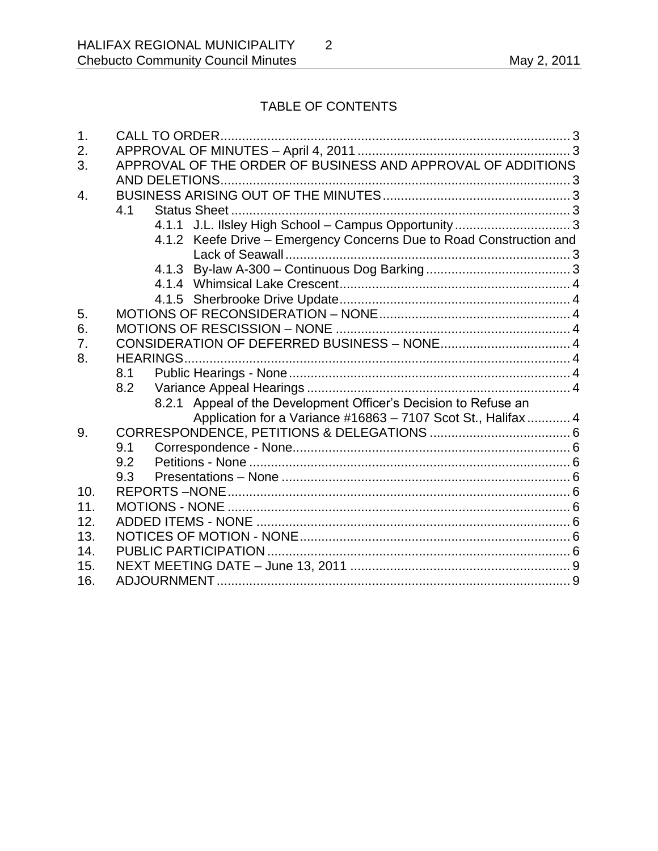# TABLE OF CONTENTS

| 1.               |                                                                     |  |
|------------------|---------------------------------------------------------------------|--|
| 2.               |                                                                     |  |
| 3.               | APPROVAL OF THE ORDER OF BUSINESS AND APPROVAL OF ADDITIONS         |  |
|                  | AND DELETIONS                                                       |  |
| $\overline{4}$ . |                                                                     |  |
|                  | 4.1                                                                 |  |
|                  |                                                                     |  |
|                  | 4.1.2 Keefe Drive - Emergency Concerns Due to Road Construction and |  |
|                  |                                                                     |  |
|                  |                                                                     |  |
|                  |                                                                     |  |
|                  |                                                                     |  |
| 5.               |                                                                     |  |
| 6.               |                                                                     |  |
| 7.               |                                                                     |  |
| 8.               | <b>HEARINGS</b>                                                     |  |
|                  | 8.1                                                                 |  |
|                  | 8.2                                                                 |  |
|                  | 8.2.1 Appeal of the Development Officer's Decision to Refuse an     |  |
|                  | Application for a Variance #16863 - 7107 Scot St., Halifax  4       |  |
| 9.               |                                                                     |  |
|                  | 9.1                                                                 |  |
|                  | 9.2                                                                 |  |
|                  | 9.3                                                                 |  |
| 10.              |                                                                     |  |
| 11.              |                                                                     |  |
| 12.              |                                                                     |  |
| 13.              |                                                                     |  |
| 14.              |                                                                     |  |
| 15.              |                                                                     |  |
| 16.              |                                                                     |  |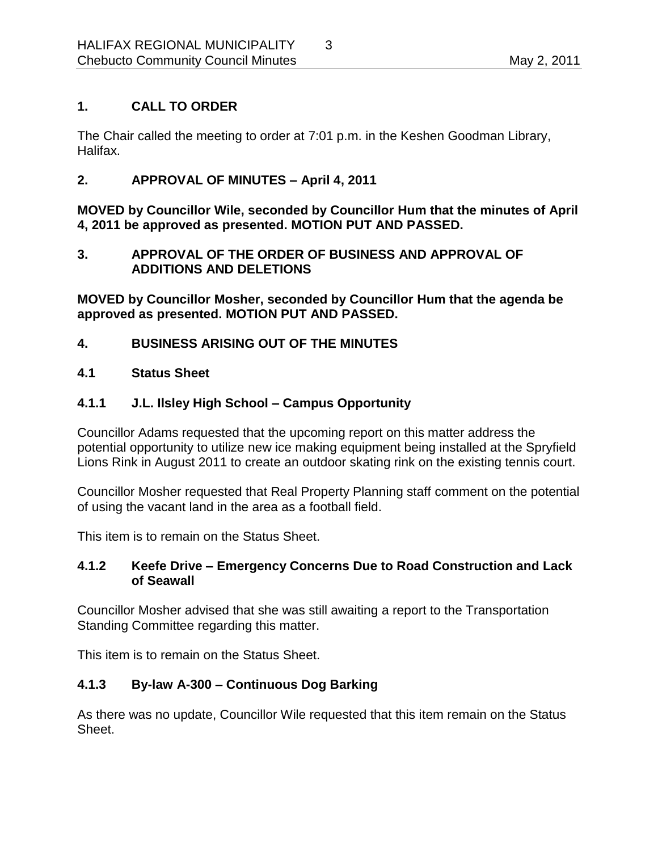## <span id="page-2-0"></span>**1. CALL TO ORDER**

The Chair called the meeting to order at 7:01 p.m. in the Keshen Goodman Library, Halifax.

## <span id="page-2-1"></span>**2. APPROVAL OF MINUTES – April 4, 2011**

**MOVED by Councillor Wile, seconded by Councillor Hum that the minutes of April 4, 2011 be approved as presented. MOTION PUT AND PASSED.** 

## <span id="page-2-2"></span>**3. APPROVAL OF THE ORDER OF BUSINESS AND APPROVAL OF ADDITIONS AND DELETIONS**

**MOVED by Councillor Mosher, seconded by Councillor Hum that the agenda be approved as presented. MOTION PUT AND PASSED.**

## <span id="page-2-3"></span>**4. BUSINESS ARISING OUT OF THE MINUTES**

### <span id="page-2-4"></span>**4.1 Status Sheet**

## <span id="page-2-5"></span>**4.1.1 J.L. Ilsley High School – Campus Opportunity**

Councillor Adams requested that the upcoming report on this matter address the potential opportunity to utilize new ice making equipment being installed at the Spryfield Lions Rink in August 2011 to create an outdoor skating rink on the existing tennis court.

Councillor Mosher requested that Real Property Planning staff comment on the potential of using the vacant land in the area as a football field.

This item is to remain on the Status Sheet.

### <span id="page-2-6"></span>**4.1.2 Keefe Drive – Emergency Concerns Due to Road Construction and Lack of Seawall**

Councillor Mosher advised that she was still awaiting a report to the Transportation Standing Committee regarding this matter.

This item is to remain on the Status Sheet.

## <span id="page-2-7"></span>**4.1.3 By-law A-300 – Continuous Dog Barking**

As there was no update, Councillor Wile requested that this item remain on the Status Sheet.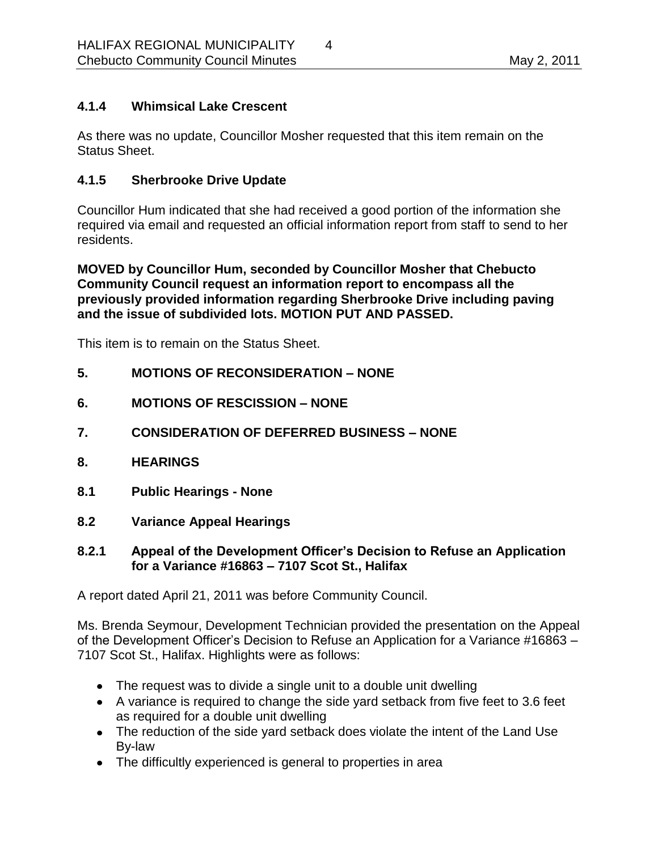## <span id="page-3-0"></span>**4.1.4 Whimsical Lake Crescent**

As there was no update, Councillor Mosher requested that this item remain on the Status Sheet.

## <span id="page-3-1"></span>**4.1.5 Sherbrooke Drive Update**

Councillor Hum indicated that she had received a good portion of the information she required via email and requested an official information report from staff to send to her residents.

**MOVED by Councillor Hum, seconded by Councillor Mosher that Chebucto Community Council request an information report to encompass all the previously provided information regarding Sherbrooke Drive including paving and the issue of subdivided lots. MOTION PUT AND PASSED.**

This item is to remain on the Status Sheet.

#### <span id="page-3-2"></span>**5. MOTIONS OF RECONSIDERATION – NONE**

- <span id="page-3-3"></span>**6. MOTIONS OF RESCISSION – NONE**
- <span id="page-3-4"></span>**7. CONSIDERATION OF DEFERRED BUSINESS – NONE**
- <span id="page-3-5"></span>**8. HEARINGS**
- <span id="page-3-6"></span>**8.1 Public Hearings - None**
- <span id="page-3-7"></span>**8.2 Variance Appeal Hearings**

#### <span id="page-3-8"></span>**8.2.1 Appeal of the Development Officer's Decision to Refuse an Application for a Variance #16863 – 7107 Scot St., Halifax**

A report dated April 21, 2011 was before Community Council.

Ms. Brenda Seymour, Development Technician provided the presentation on the Appeal of the Development Officer's Decision to Refuse an Application for a Variance #16863 – 7107 Scot St., Halifax. Highlights were as follows:

- The request was to divide a single unit to a double unit dwelling
- A variance is required to change the side yard setback from five feet to 3.6 feet as required for a double unit dwelling
- The reduction of the side yard setback does violate the intent of the Land Use By-law
- The difficultly experienced is general to properties in area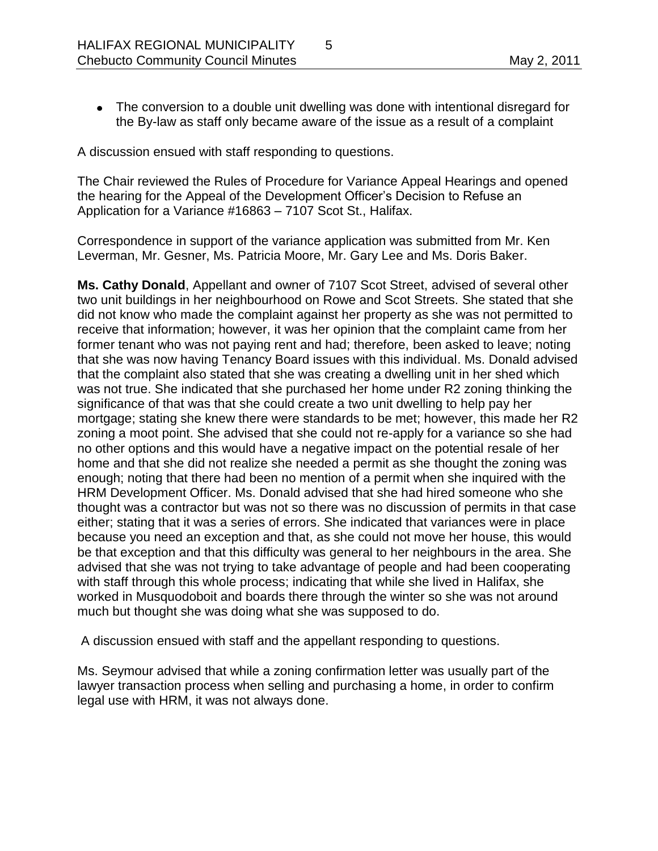The conversion to a double unit dwelling was done with intentional disregard for the By-law as staff only became aware of the issue as a result of a complaint

A discussion ensued with staff responding to questions.

The Chair reviewed the Rules of Procedure for Variance Appeal Hearings and opened the hearing for the Appeal of the Development Officer's Decision to Refuse an Application for a Variance #16863 – 7107 Scot St., Halifax.

Correspondence in support of the variance application was submitted from Mr. Ken Leverman, Mr. Gesner, Ms. Patricia Moore, Mr. Gary Lee and Ms. Doris Baker.

**Ms. Cathy Donald**, Appellant and owner of 7107 Scot Street, advised of several other two unit buildings in her neighbourhood on Rowe and Scot Streets. She stated that she did not know who made the complaint against her property as she was not permitted to receive that information; however, it was her opinion that the complaint came from her former tenant who was not paying rent and had; therefore, been asked to leave; noting that she was now having Tenancy Board issues with this individual. Ms. Donald advised that the complaint also stated that she was creating a dwelling unit in her shed which was not true. She indicated that she purchased her home under R2 zoning thinking the significance of that was that she could create a two unit dwelling to help pay her mortgage; stating she knew there were standards to be met; however, this made her R2 zoning a moot point. She advised that she could not re-apply for a variance so she had no other options and this would have a negative impact on the potential resale of her home and that she did not realize she needed a permit as she thought the zoning was enough; noting that there had been no mention of a permit when she inquired with the HRM Development Officer. Ms. Donald advised that she had hired someone who she thought was a contractor but was not so there was no discussion of permits in that case either; stating that it was a series of errors. She indicated that variances were in place because you need an exception and that, as she could not move her house, this would be that exception and that this difficulty was general to her neighbours in the area. She advised that she was not trying to take advantage of people and had been cooperating with staff through this whole process; indicating that while she lived in Halifax, she worked in Musquodoboit and boards there through the winter so she was not around much but thought she was doing what she was supposed to do.

A discussion ensued with staff and the appellant responding to questions.

Ms. Seymour advised that while a zoning confirmation letter was usually part of the lawyer transaction process when selling and purchasing a home, in order to confirm legal use with HRM, it was not always done.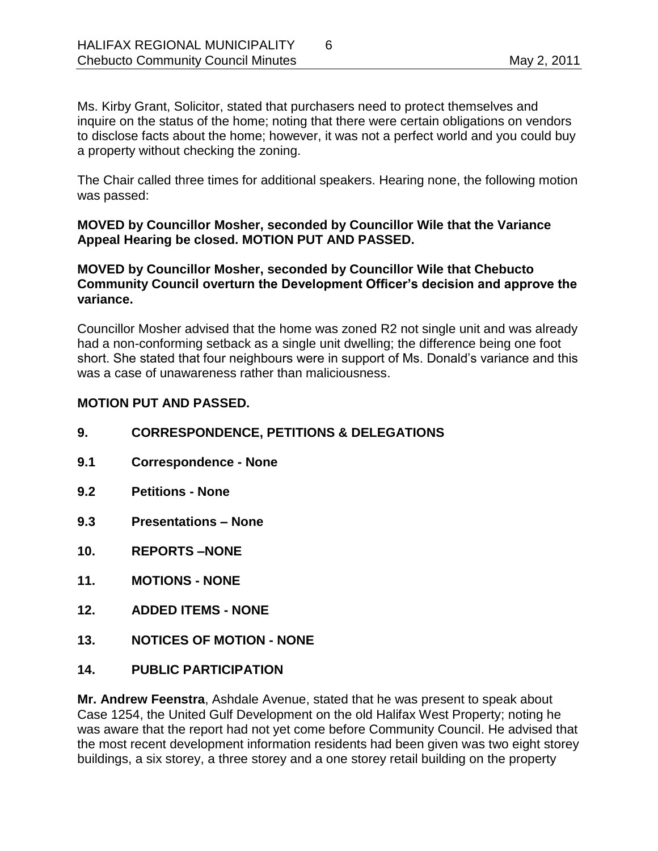Ms. Kirby Grant, Solicitor, stated that purchasers need to protect themselves and inquire on the status of the home; noting that there were certain obligations on vendors to disclose facts about the home; however, it was not a perfect world and you could buy a property without checking the zoning.

The Chair called three times for additional speakers. Hearing none, the following motion was passed:

#### **MOVED by Councillor Mosher, seconded by Councillor Wile that the Variance Appeal Hearing be closed. MOTION PUT AND PASSED.**

#### **MOVED by Councillor Mosher, seconded by Councillor Wile that Chebucto Community Council overturn the Development Officer's decision and approve the variance.**

Councillor Mosher advised that the home was zoned R2 not single unit and was already had a non-conforming setback as a single unit dwelling; the difference being one foot short. She stated that four neighbours were in support of Ms. Donald's variance and this was a case of unawareness rather than maliciousness.

### **MOTION PUT AND PASSED.**

- <span id="page-5-2"></span><span id="page-5-1"></span><span id="page-5-0"></span>**9. CORRESPONDENCE, PETITIONS & DELEGATIONS 9.1 Correspondence - None 9.2 Petitions - None 9.3 Presentations – None 10. REPORTS –NONE 11. MOTIONS - NONE**
- <span id="page-5-6"></span><span id="page-5-5"></span><span id="page-5-4"></span><span id="page-5-3"></span>**12. ADDED ITEMS - NONE**
- <span id="page-5-7"></span>**13. NOTICES OF MOTION - NONE**
- <span id="page-5-8"></span>**14. PUBLIC PARTICIPATION**

**Mr. Andrew Feenstra**, Ashdale Avenue, stated that he was present to speak about Case 1254, the United Gulf Development on the old Halifax West Property; noting he was aware that the report had not yet come before Community Council. He advised that the most recent development information residents had been given was two eight storey buildings, a six storey, a three storey and a one storey retail building on the property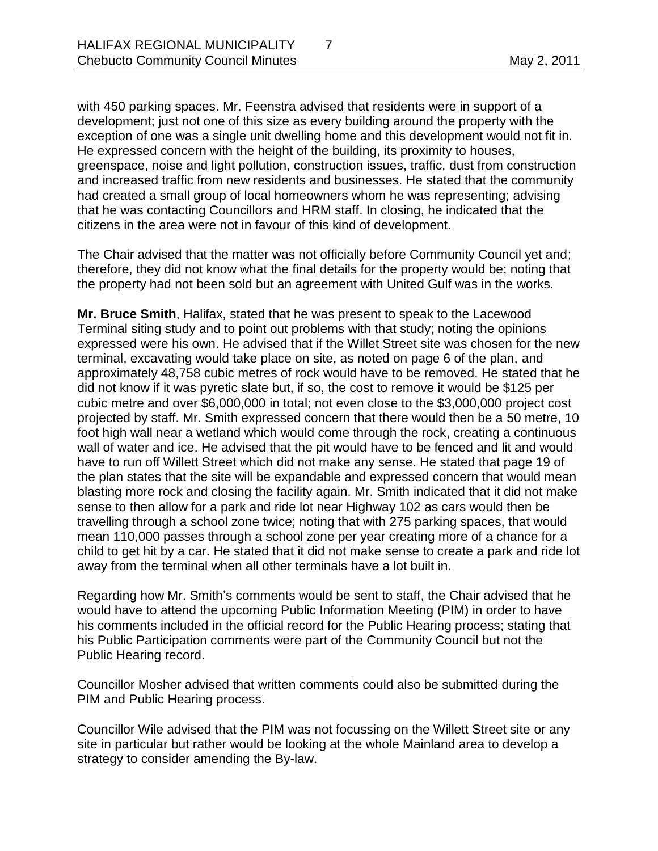with 450 parking spaces. Mr. Feenstra advised that residents were in support of a development; just not one of this size as every building around the property with the exception of one was a single unit dwelling home and this development would not fit in. He expressed concern with the height of the building, its proximity to houses, greenspace, noise and light pollution, construction issues, traffic, dust from construction and increased traffic from new residents and businesses. He stated that the community had created a small group of local homeowners whom he was representing; advising that he was contacting Councillors and HRM staff. In closing, he indicated that the citizens in the area were not in favour of this kind of development.

The Chair advised that the matter was not officially before Community Council yet and; therefore, they did not know what the final details for the property would be; noting that the property had not been sold but an agreement with United Gulf was in the works.

**Mr. Bruce Smith**, Halifax, stated that he was present to speak to the Lacewood Terminal siting study and to point out problems with that study; noting the opinions expressed were his own. He advised that if the Willet Street site was chosen for the new terminal, excavating would take place on site, as noted on page 6 of the plan, and approximately 48,758 cubic metres of rock would have to be removed. He stated that he did not know if it was pyretic slate but, if so, the cost to remove it would be \$125 per cubic metre and over \$6,000,000 in total; not even close to the \$3,000,000 project cost projected by staff. Mr. Smith expressed concern that there would then be a 50 metre, 10 foot high wall near a wetland which would come through the rock, creating a continuous wall of water and ice. He advised that the pit would have to be fenced and lit and would have to run off Willett Street which did not make any sense. He stated that page 19 of the plan states that the site will be expandable and expressed concern that would mean blasting more rock and closing the facility again. Mr. Smith indicated that it did not make sense to then allow for a park and ride lot near Highway 102 as cars would then be travelling through a school zone twice; noting that with 275 parking spaces, that would mean 110,000 passes through a school zone per year creating more of a chance for a child to get hit by a car. He stated that it did not make sense to create a park and ride lot away from the terminal when all other terminals have a lot built in.

Regarding how Mr. Smith's comments would be sent to staff, the Chair advised that he would have to attend the upcoming Public Information Meeting (PIM) in order to have his comments included in the official record for the Public Hearing process; stating that his Public Participation comments were part of the Community Council but not the Public Hearing record.

Councillor Mosher advised that written comments could also be submitted during the PIM and Public Hearing process.

Councillor Wile advised that the PIM was not focussing on the Willett Street site or any site in particular but rather would be looking at the whole Mainland area to develop a strategy to consider amending the By-law.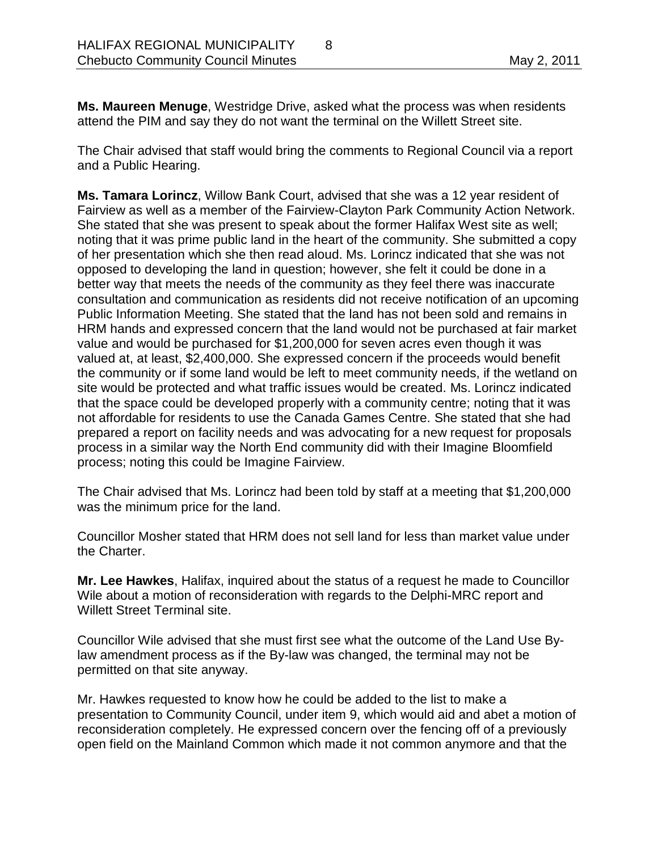**Ms. Maureen Menuge**, Westridge Drive, asked what the process was when residents attend the PIM and say they do not want the terminal on the Willett Street site.

The Chair advised that staff would bring the comments to Regional Council via a report and a Public Hearing.

**Ms. Tamara Lorincz**, Willow Bank Court, advised that she was a 12 year resident of Fairview as well as a member of the Fairview-Clayton Park Community Action Network. She stated that she was present to speak about the former Halifax West site as well; noting that it was prime public land in the heart of the community. She submitted a copy of her presentation which she then read aloud. Ms. Lorincz indicated that she was not opposed to developing the land in question; however, she felt it could be done in a better way that meets the needs of the community as they feel there was inaccurate consultation and communication as residents did not receive notification of an upcoming Public Information Meeting. She stated that the land has not been sold and remains in HRM hands and expressed concern that the land would not be purchased at fair market value and would be purchased for \$1,200,000 for seven acres even though it was valued at, at least, \$2,400,000. She expressed concern if the proceeds would benefit the community or if some land would be left to meet community needs, if the wetland on site would be protected and what traffic issues would be created. Ms. Lorincz indicated that the space could be developed properly with a community centre; noting that it was not affordable for residents to use the Canada Games Centre. She stated that she had prepared a report on facility needs and was advocating for a new request for proposals process in a similar way the North End community did with their Imagine Bloomfield process; noting this could be Imagine Fairview.

The Chair advised that Ms. Lorincz had been told by staff at a meeting that \$1,200,000 was the minimum price for the land.

Councillor Mosher stated that HRM does not sell land for less than market value under the Charter.

**Mr. Lee Hawkes**, Halifax, inquired about the status of a request he made to Councillor Wile about a motion of reconsideration with regards to the Delphi-MRC report and Willett Street Terminal site.

Councillor Wile advised that she must first see what the outcome of the Land Use Bylaw amendment process as if the By-law was changed, the terminal may not be permitted on that site anyway.

Mr. Hawkes requested to know how he could be added to the list to make a presentation to Community Council, under item 9, which would aid and abet a motion of reconsideration completely. He expressed concern over the fencing off of a previously open field on the Mainland Common which made it not common anymore and that the